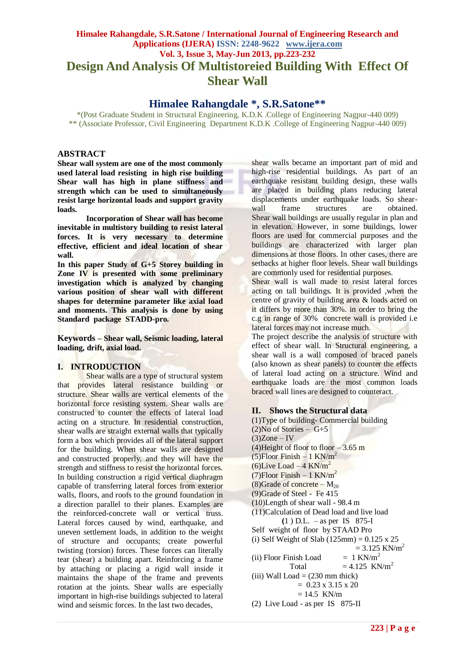# **Himalee Rahangdale, S.R.Satone / International Journal of Engineering Research and Applications (IJERA) ISSN: 2248-9622 www.ijera.com Vol. 3, Issue 3, May-Jun 2013, pp.223-232 Design And Analysis Of Multistoreied Building With Effect Of Shear Wall**

# **Himalee Rahangdale \*, S.R.Satone\*\***

\*(Post Graduate Student in Structural Engineering, K.D.K .College of Engineering Nagpur-440 009) \*\* (Associate Professor, Civil Engineering Department K.D.K .College of Engineering Nagpur-440 009)

## **ABSTRACT**

**Shear wall system are one of the most commonly used lateral load resisting in high rise building Shear wall has high in plane stiffness and strength which can be used to simultaneously resist large horizontal loads and support gravity loads.**

**Incorporation of Shear wall has become inevitable in multistory building to resist lateral forces. It is very necessary to determine effective, efficient and ideal location of shear wall.**

**In this paper Study of G+5 Storey building in Zone IV is presented with some preliminary investigation which is analyzed by changing various position of shear wall with different shapes for determine parameter like axial load and moments. This analysis is done by using Standard package STADD-pro.**

**Keywords – Shear wall, Seismic loading, lateral loading, drift, axial load.**

#### **I. INTRODUCTION**

Shear walls are a type of structural system that provides lateral resistance building or structure. Shear walls are vertical elements of the horizontal force resisting system. Shear walls are constructed to counter the effects of lateral load acting on a structure. In residential construction, shear walls are straight external walls that typically form a box which provides all of the lateral support for the building. When shear walls are designed and constructed properly, and they will have the strength and stiffness to resist the horizontal forces. In building construction a rigid vertical diaphragm capable of transferring lateral forces from exterior walls, floors, and roofs to the ground foundation in a direction parallel to their planes. Examples are the reinforced-concrete wall or vertical truss. Lateral forces caused by wind, earthquake, and uneven settlement loads, in addition to the weight of structure and occupants; create powerful twisting (torsion) forces. These forces can literally tear (shear) a building apart. Reinforcing a frame by attaching or placing a rigid wall inside it maintains the shape of the frame and prevents rotation at the joints. Shear walls are especially important in high-rise buildings subjected to lateral wind and seismic forces. In the last two decades,

shear walls became an important part of mid and high-rise residential buildings. As part of an earthquake resistant building design, these walls are placed in building plans reducing lateral displacements under earthquake loads. So shearwall frame structures are obtained. Shear wall buildings are usually regular in plan and in elevation. However, in some buildings, lower floors are used for commercial purposes and the buildings are characterized with larger plan dimensions at those floors. In other cases, there are setbacks at higher floor levels. Shear wall buildings are commonly used for residential purposes.

Shear wall is wall made to resist lateral forces acting on tall buildings. It is provided ,when the centre of gravity of building area & loads acted on it differs by more than 30%. in order to bring the c.g in range of 30% concrete wall is provided i.e lateral forces may not increase much.

The project describe the analysis of structure with effect of shear wall. In Structural engineering, a shear wall is a wall composed of braced panels (also known as shear panels) to counter the effects of [lateral load](http://en.wikipedia.org/wiki/Lateral_load) acting on a structure. [Wind](http://en.wikipedia.org/wiki/Wind) and [earthquake](http://en.wikipedia.org/wiki/Seismic) loads are the most common loads braced wall lines are designed to counteract.

#### **II. Shows the Structural data**

(1)Type of building- Commercial building  $(2)$ No of Stories – G+5  $(3)$ Zone – IV (4) Height of floor to floor  $-3.65$  m (5)Floor Finish –  $1 \text{ KN/m}^2$ (6)Live Load – 4 KN/m<sup>2</sup> (7)Floor Finish  $-1$  KN/m<sup>2</sup> (8)Grade of concrete –  $M_{20}$ (9)Grade of Steel - Fe 415 (10)Length of shear wall - 98.4 m (11)Calculation of Dead load and live load  **(**1 ) D.L. – as per IS 875-I Self weight of floor by STAAD Pro (i) Self Weight of Slab  $(125 \text{mm}) = 0.125 \text{ x } 25$  $= 3.125$  KN/m<sup>2</sup> (ii) Floor Finish Load  $= 1$  KN/m<sup>2</sup> Total  $= 4.125$  KN/m<sup>2</sup> (iii) Wall Load  $= (230 \text{ mm thick})$  $= 0.23 \times 3.15 \times 20$  $= 14.5$  KN/m (2) Live Load - as per IS 875-II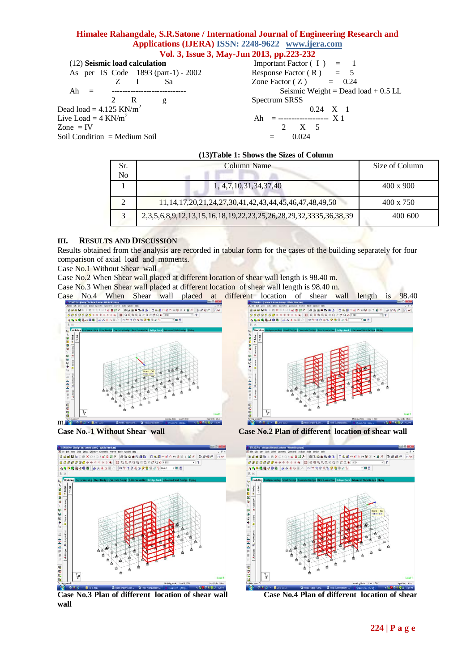(12) **Seismic load calculation** As per IS Code 1893 (part-1) - 2002 Z I Sa Ah = ---------------------------- 2 R g Dead load =  $4.125$  KN/m<sup>2</sup> Live Load =  $4$  KN/m<sup>2</sup> Zone  $=$  IV Soil Condition  $=$  Medium Soil Important Factor  $(I) = 1$ Response Factor (R)  $=$  5<br>Zone Factor (Z)  $=$  0.24 Zone Factor  $(Z)$ Seismic Weight = Dead load  $+ 0.5$  LL Spectrum SRSS 0.24 X 1 Ah = ---------------------  $X$  1 2 X 5  $= 0.024$ 

#### **(13)Table 1: Shows the Sizes of Column**

| Sr.<br>No               | Column Name                                                            | Size of Column   |
|-------------------------|------------------------------------------------------------------------|------------------|
|                         | 1, 4, 7, 10, 31, 34, 37, 40                                            | $400 \times 900$ |
| $\gamma$                | 11, 14, 17, 20, 21, 24, 27, 30, 41, 42, 43, 44, 45, 46, 47, 48, 49, 50 | $400 \times 750$ |
| $\overline{\mathbf{c}}$ | 2,3,5,6,8,9,12,13,15,16,18,19,22,23,25,26,28,29,32,3335,36,38,39       | 400 600          |

#### **III. RESULTS AND DISCUSSION**

Results obtained from the analysis are recorded in tabular form for the cases of the building separately for four comparison of axial load and moments.

Case No.1 Without Shear wall

Case No.2 When Shear wall placed at different location of shear wall length is 98.40 m.

Case No.3 When Shear wall placed at different location of shear wall length is 98.40 m.

Case No.4 When Shear wall placed at different location of shear wall length is 98.40





**Case No.3 Plan of different location of shear wall Case No.4 Plan of different location of shear wall**



**Case No.-1 Without Shear wall Case No.2 Plan of different location of shear wall** 



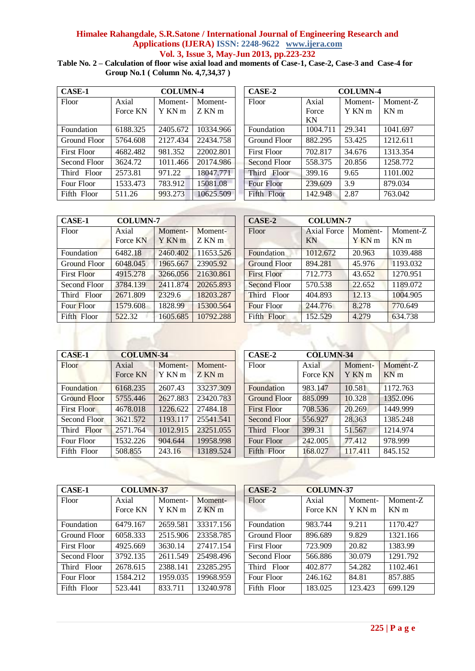**Table No. 2 – Calculation of floor wise axial load and moments of Case-1, Case-2, Case-3 and Case-4 for Group No.1 ( Column No. 4,7,34,37 )**

| <b>COLUMN-4</b><br><b>CASE-1</b> |          |          |           | CASE-2             | <b>COLUMN-4</b> |         |                 |
|----------------------------------|----------|----------|-----------|--------------------|-----------------|---------|-----------------|
| Floor                            | Axial    | Moment-  | Moment-   | Floor              | Axial           | Moment- | Moment-         |
|                                  | Force KN | Y KN m   | Z KN m    |                    | Force           | Y KN m  | KN <sub>m</sub> |
|                                  |          |          |           |                    | KN              |         |                 |
| Foundation                       | 6188.325 | 2405.672 | 10334.966 | Foundation         | 1004.711        | 29.341  | 1041.697        |
| Ground Floor                     | 5764.608 | 2127.434 | 22434.758 | Ground Floor       | 882.295         | 53.425  | 1212.611        |
| <b>First Floor</b>               | 4682.482 | 981.352  | 22002.801 | <b>First Floor</b> | 702.817         | 34.676  | 1313.354        |
| Second Floor                     | 3624.72  | 1011.466 | 20174.986 | Second Floor       | 558.375         | 20.856  | 1258.772        |
| Third Floor                      | 2573.81  | 971.22   | 18047.771 | Third Floor        | 399.16          | 9.65    | 1101.002        |
| Four Floor                       | 1533.473 | 783.912  | 15081.08  | <b>Four Floor</b>  | 239.609         | 3.9     | 879.034         |
| Fifth Floor                      | 511.26   | 993.273  | 10625.509 | Fifth Floor        | 142.948         | 2.87    | 763.042         |

| CASE-2            |          | <b>COLUMN-4</b> |                 |  |  |  |  |  |
|-------------------|----------|-----------------|-----------------|--|--|--|--|--|
| Floor             | Axial    | Moment-         | Moment-Z        |  |  |  |  |  |
|                   | Force    | Y KN m          | KN <sub>m</sub> |  |  |  |  |  |
|                   | KN       |                 |                 |  |  |  |  |  |
| Foundation        | 1004.711 | 29.341          | 1041.697        |  |  |  |  |  |
| Ground Floor      | 882.295  | 53.425          | 1212.611        |  |  |  |  |  |
| First Floor       | 702.817  | 34.676          | 1313.354        |  |  |  |  |  |
| Second Floor      | 558.375  | 20.856          | 1258.772        |  |  |  |  |  |
| Third Floor       | 399.16   | 9.65            | 1101.002        |  |  |  |  |  |
| <b>Four Floor</b> | 239.609  | 3.9             | 879.034         |  |  |  |  |  |
| Fifth Floor       | 142.948  | 2.87            | 763.042         |  |  |  |  |  |

| <b>CASE-1</b>      | <b>COLUMN-7</b>   | CASE-2            | <b>COLUMN-7</b> |                     |                          |  |
|--------------------|-------------------|-------------------|-----------------|---------------------|--------------------------|--|
| Floor              | Axial<br>Force KN | Moment-<br>Y KN m | Moment-<br>ZKNm | Floor               | <b>Axial Force</b><br>KN |  |
| Foundation         | 6482.18           | 2460.402          | 11653.526       | Foundation          | 1012.672                 |  |
| Ground Floor       | 6048.045          | 1965.667          | 23905.92        | <b>Ground Floor</b> | 894.281                  |  |
| <b>First Floor</b> | 4915.278          | 3266,056          | 21630.861       | <b>First Floor</b>  | 712.773                  |  |
| Second Floor       | 3784.139          | 2411.874          | 20265.893       | <b>Second Floor</b> | 570.538                  |  |
| Third Floor        | 2671.809          | 2329.6            | 18203.287       | Third Floor         | 404.893                  |  |
| Four Floor         | 1579.608          | 1828.99           | 15300.564       | <b>Four Floor</b>   | 244,776                  |  |
| Fifth Floor        | 522.32            | 1605.685          | 10792.288       | Fifth Floor         | 152.529                  |  |
|                    |                   |                   |                 |                     |                          |  |

| <b>CASE-1</b>      | <b>COLUMN-7</b>   |                              |                    | CASE-2              | <b>COLUMN-7</b>          |                   |                             |
|--------------------|-------------------|------------------------------|--------------------|---------------------|--------------------------|-------------------|-----------------------------|
| Floor              | Axial<br>Force KN | Moment-<br>Y KN <sub>m</sub> | Moment-<br>$ZKN$ m | Floor               | <b>Axial Force</b><br>KN | Moment-<br>Y KN m | Moment-Z<br>KN <sub>m</sub> |
| Foundation         | 6482.18           | 2460.402                     | 11653.526          | Foundation          | 1012.672                 | 20.963            | 1039.488                    |
| Ground Floor       | 6048.045          | 1965.667                     | 23905.92           | <b>Ground Floor</b> | 894.281                  | 45.976            | 1193.032                    |
| <b>First Floor</b> | 4915.278          | 3266.056                     | 21630.861          | <b>First Floor</b>  | 712.773                  | 43.652            | 1270.951                    |
| Second Floor       | 3784.139          | 2411.874                     | 20265.893          | <b>Second Floor</b> | 570.538                  | 22.652            | 1189.072                    |
| Third Floor        | 2671.809          | 2329.6                       | 18203.287          | Third Floor         | 404.893                  | 12.13             | 1004.905                    |
| Four Floor         | 1579.608          | 1828.99                      | 15300.564          | Four Floor          | 244.776                  | 8.278             | 770.649                     |
| Fifth Floor        | 522.32            | 1605.685                     | 10792.288          | Fifth Floor         | 152.529                  | 4.279             | 634.738                     |

| <b>CASE-1</b>       | <b>COLUMN-34</b>  |                   |                   | CASE-2<br><b>COLUMN-34</b> |                   |                              |                             |  |
|---------------------|-------------------|-------------------|-------------------|----------------------------|-------------------|------------------------------|-----------------------------|--|
| Floor               | Axial<br>Force KN | Moment-<br>Y KN m | Moment-<br>Z KN m | Floor                      | Axial<br>Force KN | Moment-<br>Y KN <sub>m</sub> | Moment-Z<br>KN <sub>m</sub> |  |
|                     |                   |                   |                   |                            |                   |                              |                             |  |
| Foundation          | 6168.235          | 2607.43           | 33237.309         | Foundation                 | 983.147           | 10.581                       | 1172.763                    |  |
| <b>Ground Floor</b> | 5755.446          | 2627.883          | 23420.783         | <b>Ground Floor</b>        | 885.099           | 10.328                       | 1352.096                    |  |
| <b>First Floor</b>  | 4678.018          | 1226.622          | 27484.18          | <b>First Floor</b>         | 708.536           | 20.269                       | 1449.999                    |  |
| Second Floor        | 3621.572          | 1193.117          | 25541.541         | Second Floor               | 556.927           | 28.363                       | 1385.248                    |  |
| Third Floor         | 2571.764          | 1012.915          | 23251.055         | Third Floor                | 399.31            | 51.567                       | 1214.974                    |  |
| Four Floor          | 1532.226          | 904.644           | 19958.998         | Four Floor                 | 242,005           | 77.412                       | 978.999                     |  |
| Fifth Floor         | 508.855           | 243.16            | 13189.524         | Fifth Floor                | 168.027           | 117.411                      | 845.152                     |  |

| CASE-1<br><b>COLUMN-37</b> |                   |                   |                   |  | CASE-2       | <b>COLUMN-37</b>  |                   |                             |
|----------------------------|-------------------|-------------------|-------------------|--|--------------|-------------------|-------------------|-----------------------------|
| Floor                      | Axial<br>Force KN | Moment-<br>Y KN m | Moment-<br>Z KN m |  | Floor        | Axial<br>Force KN | Moment-<br>Y KN m | Moment-Z<br>KN <sub>m</sub> |
| Foundation                 | 6479.167          | 2659.581          | 33317.156         |  | Foundation   | 983.744           | 9.211             | 1170.427                    |
| Ground Floor               | 6058.333          | 2515.906          | 23358.785         |  | Ground Floor | 896.689           | 9.829             | 1321.166                    |
| <b>First Floor</b>         | 4925.669          | 3630.14           | 27417.154         |  | First Floor  | 723.909           | 20.82             | 1383.99                     |
| Second Floor               | 3792.135          | 2611.549          | 25498.496         |  | Second Floor | 566.886           | 30.079            | 1291.792                    |
| Third Floor                | 2678.615          | 2388.141          | 23285.295         |  | Third Floor  | 402.877           | 54.282            | 1102.461                    |
| Four Floor                 | 1584.212          | 1959.035          | 19968.959         |  | Four Floor   | 246.162           | 84.81             | 857.885                     |
| Fifth Floor                | 523.441           | 833.711           | 13240.978         |  | Fifth Floor  | 183.025           | 123.423           | 699.129                     |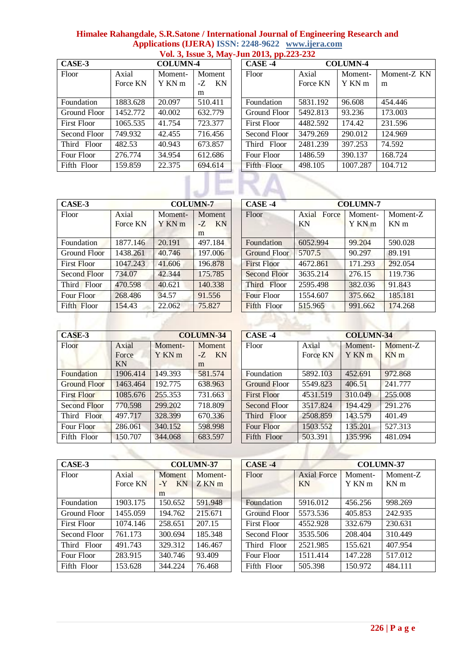| Himalee Rahangdale, S.R.Satone / International Journal of Engineering Research and |  |
|------------------------------------------------------------------------------------|--|
| Applications (IJERA) ISSN: 2248-9622 www.ijera.com                                 |  |
| Vol. 3. Issue 3. May-Jun 2013, pp.223-232                                          |  |

|                    |          |                 |          |  | $\mathbf{v}$ on $\mathbf{v}$ hoods $\mathbf{v}$ had $\mathbf{v}$ out go to, possed go a |                 |          |         |
|--------------------|----------|-----------------|----------|--|-----------------------------------------------------------------------------------------|-----------------|----------|---------|
| CASE-3             |          | <b>COLUMN-4</b> |          |  | $CASE -4$                                                                               | <b>COLUMN-4</b> |          |         |
| Floor              | Axial    | Moment-         | Moment   |  | Floor                                                                                   | Axial           | Moment-  | Moment  |
|                    | Force KN | Y KN m          | KN<br>-Z |  |                                                                                         | Force KN        | Y KN m   | m       |
|                    |          |                 | m        |  |                                                                                         |                 |          |         |
| Foundation         | 1883.628 | 20.097          | 510.411  |  | Foundation                                                                              | 5831.192        | 96.608   | 454.446 |
| Ground Floor       | 1452.772 | 40.002          | 632.779  |  | Ground Floor                                                                            | 5492.813        | 93.236   | 173.003 |
| <b>First Floor</b> | 1065.535 | 41.754          | 723.377  |  | <b>First Floor</b>                                                                      | 4482.592        | 174.42   | 231.596 |
| Second Floor       | 749.932  | 42.455          | 716.456  |  | Second Floor                                                                            | 3479.269        | 290.012  | 124.969 |
| Third Floor        | 482.53   | 40.943          | 673.857  |  | Third Floor                                                                             | 2481.239        | 397.253  | 74.592  |
| Four Floor         | 276.774  | 34.954          | 612.686  |  | Four Floor                                                                              | 1486.59         | 390.137  | 168.724 |
| Fifth Floor        | 159.859  | 22.375          | 694.614  |  | Fifth Floor                                                                             | 498.105         | 1007.287 | 104.712 |
|                    |          |                 |          |  |                                                                                         |                 |          |         |

| CASE-4             |          | <b>COLUMN-4</b> |             |
|--------------------|----------|-----------------|-------------|
| Floor              | Axial    | Moment-         | Moment-Z KN |
|                    | Force KN | Y KN m          | m           |
| Foundation         | 5831.192 | 96.608          | 454.446     |
| Ground Floor       | 5492.813 | 93.236          | 173,003     |
| <b>First Floor</b> | 4482.592 | 174.42          | 231.596     |
| Second Floor       | 3479.269 | 290.012         | 124.969     |
| Third Floor        | 2481.239 | 397.253         | 74.592      |
| Four Floor         | 1486.59  | 390.137         | 168.724     |
| Fifth Floor        | 498.105  | 1007.287        | 104.712     |

| CASE-3             |                   | <b>COLUMN-7</b>   |                             | CASE -4            |                      | <b>COLUMN-7</b>   |                         |
|--------------------|-------------------|-------------------|-----------------------------|--------------------|----------------------|-------------------|-------------------------|
| Floor              | Axial<br>Force KN | Moment-<br>Y KN m | Moment<br>KN<br>$-Z$ .<br>m | Floor              | Force<br>Axial<br>KN | Moment-<br>Y KN m | Mome<br>KN <sub>m</sub> |
| Foundation         | 1877.146          | 20.191            | 497.184                     | Foundation         | 6052.994             | 99.204            | 590.02                  |
| Ground Floor       | 1438.261          | 40.746            | 197.006                     | Ground Floor       | 5707.5               | 90.297            | 89.191                  |
| <b>First Floor</b> | 1047.243          | 41.606            | 196.878                     | <b>First Floor</b> | 4672.861             | 171.293           | 292.05                  |
| Second Floor       | 734.07            | 42.344            | 175,785                     | Second Floor       | 3635.214             | 276.15            | 119.73                  |
| Third Floor        | 470.598           | 40.621            | 140.338                     | Third Floor        | 2595.498             | 382.036           | 91.843                  |
| Four Floor         | 268,486           | 34.57             | 91.556                      | <b>Four Floor</b>  | 1554.607             | 375.662           | 185.18                  |
| Fifth Floor        | 154.43            | 22.062            | 75.827                      | Fifth Floor        | 515.965              | 991.662           | 174.26                  |

| CASE-3<br><b>COLUMN-7</b> |          |         |            |  | CASE-4             |             | <b>COLUMN-7</b> |                 |  |
|---------------------------|----------|---------|------------|--|--------------------|-------------|-----------------|-----------------|--|
|                           |          |         |            |  |                    |             |                 |                 |  |
| Floor                     | Axial    | Moment- | Moment     |  | Floor              | Axial Force | Moment-         | Moment-Z        |  |
|                           | Force KN | Y KN m  | KN<br>$-Z$ |  |                    | KN          | Y KN m          | KN <sub>m</sub> |  |
|                           |          |         | m          |  |                    |             |                 |                 |  |
| Foundation                | 1877.146 | 20.191  | 497.184    |  | Foundation         | 6052.994    | 99.204          | 590.028         |  |
| Ground Floor              | 1438.261 | 40.746  | 197.006    |  | Ground Floor       | 5707.5      | 90.297          | 89.191          |  |
| First Floor               | 1047.243 | 41.606  | 196.878    |  | <b>First Floor</b> | 4672.861    | 171.293         | 292.054         |  |
| Second Floor              | 734.07   | 42.344  | 175.785    |  | Second Floor       | 3635.214    | 276.15          | 119.736         |  |
| Third Floor               | 470.598  | 40.621  | 140.338    |  | Third Floor        | 2595.498    | 382.036         | 91.843          |  |
| Four Floor                | 268,486  | 34.57   | 91.556     |  | <b>Four Floor</b>  | 1554.607    | 375.662         | 185.181         |  |
| Fifth Floor               | 154.43   | 22.062  | 75.827     |  | Fifth Floor        | 515.965     | 991.662         | 174.268         |  |
|                           |          |         |            |  |                    |             |                 |                 |  |

| CASE-3              |                      |                              | <b>COLUMN-34</b>                   | CASE -4             |                   | <b>COLUMN-34</b> |                             |  |  |
|---------------------|----------------------|------------------------------|------------------------------------|---------------------|-------------------|------------------|-----------------------------|--|--|
| Floor               | Axial<br>Force<br>KN | Moment-<br>Y KN <sub>m</sub> | Moment<br><b>KN</b><br>$-Z$ .<br>m | Floor               | Axial<br>Force KN | Moment-<br>YKNm  | Moment-Z<br>KN <sub>m</sub> |  |  |
| Foundation          | 1906.414             | 149.393                      | 581.574                            | Foundation          | 5892.103          | 452.691          | 972.868                     |  |  |
| <b>Ground Floor</b> | 1463.464             | 192.775                      | 638.963                            | <b>Ground Floor</b> | 5549.823          | 406.51           | 241.777                     |  |  |
| <b>First Floor</b>  | 1085.676             | 255.353                      | 731.663                            | <b>First Floor</b>  | 4531.519          | 310.049          | 255,008                     |  |  |
| Second Floor        | 770.598              | 299.202                      | 718.809                            | Second Floor        | 3517.824          | 194.429          | 291.276                     |  |  |
| Third Floor         | 497.717              | 328.399                      | 670.336                            | Third Floor         | 2508.859          | 143.579          | 401.49                      |  |  |
| Four Floor          | 286,061              | 340.152                      | 598.998                            | Four Floor          | 1503.552          | 135.201          | 527.313                     |  |  |
| Fifth Floor         | 150.707              | 344.068                      | 683.597                            | Fifth Floor         | 503.391           | 135.996          | 481.094                     |  |  |

| CASE-3<br><b>COLUMN-37</b> |          |            |         | $CASE -4$    |                    | <b>COLUMN-37</b> |                 |
|----------------------------|----------|------------|---------|--------------|--------------------|------------------|-----------------|
| Floor                      | Axial    | Moment     | Moment- | Floor        | <b>Axial Force</b> | Moment-          | Moment-Z        |
|                            | Force KN | KN<br>$-Y$ | ZKNm    |              | KN                 | Y KN m           | KN <sub>m</sub> |
|                            |          | m          |         |              |                    |                  |                 |
| Foundation                 | 1903.175 | 150.652    | 591.948 | Foundation   | 5916.012           | 456.256          | 998.269         |
| Ground Floor               | 1455.059 | 194.762    | 215.671 | Ground Floor | 5573.536           | 405.853          | 242.935         |
| First Floor                | 1074.146 | 258.651    | 207.15  | First Floor  | 4552.928           | 332.679          | 230.631         |
| Second Floor               | 761.173  | 300.694    | 185.348 | Second Floor | 3535.506           | 208.404          | 310.449         |
| Third Floor                | 491.743  | 329.312    | 146.467 | Third Floor  | 2521.985           | 155.621          | 407.954         |
| Four Floor                 | 283.915  | 340.746    | 93.409  | Four Floor   | 1511.414           | 147.228          | 517.012         |
| Fifth Floor                | 153.628  | 344.224    | 76.468  | Fifth Floor  | 505.398            | 150.972          | 484.111         |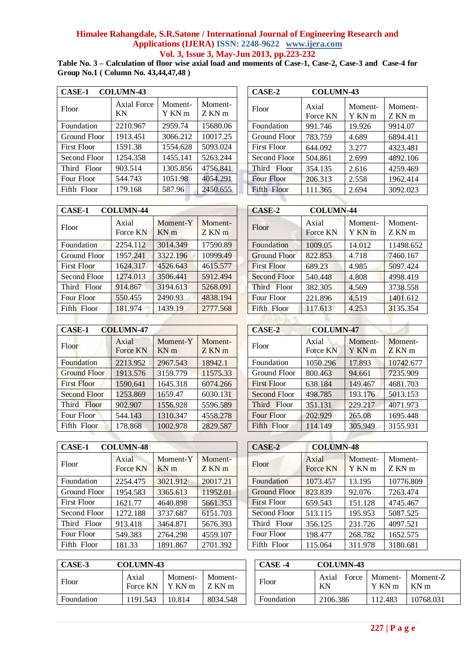**Table No. 3 – Calculation of floor wise axial load and moments of Case-1, Case-2, Case-3 and Case-4 for Group No.1 ( Column No. 43,44,47,48 )**

| <b>CASE-1</b><br><b>COLUMN-43</b> |                   |                   |                       | CASE-2            | <b>COLUMN-43</b>  |                   |                   |
|-----------------------------------|-------------------|-------------------|-----------------------|-------------------|-------------------|-------------------|-------------------|
| Floor                             | Axial Force<br>KN | Moment-<br>Y KN m | Moment-<br>$Z$ KN $m$ | Floor             | Axial<br>Force KN | Moment-<br>Y KN m | Moment-<br>Z KN m |
| Foundation                        | 2210.967          | 2959.74           | 15680.06              | Foundation        | 991.746           | 19.926            | 9914.07           |
| Ground Floor                      | 1913.451          | 3066.212          | 10017.25              | Ground Floor      | 783.759           | 4.689             | 6894.411          |
| First Floor                       | 1591.38           | 1554.628          | 5093.024              | First Floor       | 644.092           | 3.277             | 4323.481          |
| Second Floor                      | 1254.358          | 1455.141          | 5263.244              | Second Floor      | 504.861           | 2.699             | 4892.106          |
| Third Floor                       | 903.514           | 1305.856          | 4756.841              | Third Floor       | 354.135           | 2.616             | 4259.469          |
| Four Floor                        | 544.743           | 1051.98           | 4054.291              | <b>Four Floor</b> | 206.313           | 2.558             | 1962.414          |
| Fifth Floor                       | 179.168           | 587.96            | 2450.655              | Fifth Floor       | 111.365           | 2.694             | 3092.023          |

|                   | CASE-2       | <b>COLUMN-43</b>  |                   |                    |
|-------------------|--------------|-------------------|-------------------|--------------------|
| Moment-<br>Z KN m | Floor        | Axial<br>Force KN | Moment-<br>Y KN m | Moment-<br>$ZKN$ m |
| 15680.06          | Foundation   | 991.746           | 19.926            | 9914.07            |
| 10017.25          | Ground Floor | 783.759           | 4.689             | 6894.411           |
| 5093.024          | First Floor  | 644.092           | 3.277             | 4323.481           |
| 5263.244          | Second Floor | 504.861           | 2.699             | 4892.106           |
| 4756.841          | Third Floor  | 354.135           | 2.616             | 4259.469           |
| 4054.291          | Four Floor   | 206.313           | 2.558             | 1962.414           |
| 2450.655          | Fifth Floor  | 111.365           | 2.694             | 3092.023           |
|                   |              |                   |                   |                    |

| <b>CASE-1</b>      | <b>COLUMN-44</b>  |                             |                 | CASE-2              | <b>COLUMN-44</b>  |                              |                    |
|--------------------|-------------------|-----------------------------|-----------------|---------------------|-------------------|------------------------------|--------------------|
| Floor              | Axial<br>Force KN | Moment-Y<br>KN <sub>m</sub> | Moment-<br>ZKNm | Floor               | Axial<br>Force KN | Moment-<br>Y KN <sub>m</sub> | Moment-<br>$ZKN$ m |
| Foundation         | 2254.112          | 3014.349                    | 17590.89        | Foundation          | 1009.05           | 14.012                       | 11498.652          |
| Ground Floor       | 1957.241          | 3322.196                    | 10999.49        | <b>Ground Floor</b> | 822.853           | 4.718                        | 7460.167           |
| <b>First Floor</b> | 1624.317          | 4526.643                    | 4615.577        | <b>First Floor</b>  | 689.23            | 4.985                        | 5097.424           |
| Second Floor       | 1274.013          | 3506.441                    | 5912.494        | Second Floor        | 540.448           | 4.808                        | 4998.419           |
| Third Floor        | 914.867           | 3194.613                    | 5268.091        | Third Floor         | 382.305           | 4.569                        | 3738.558           |
| Four Floor         | 550.455           | 2490.93                     | 4838.194        | <b>Four Floor</b>   | 221.896           | 4.519                        | 1401.612           |
| Fifth Floor        | 181.974           | 1439.19                     | 2777.568        | Fifth Floor         | 117.613           | 4.253                        | 3135.354           |
|                    |                   |                             |                 |                     |                   |                              |                    |

| <b>CASE-1</b>       | <b>COLUMN-47</b>  |                             |                 | CASE-2             | <b>COLUMN-47</b>  |                 |                 |
|---------------------|-------------------|-----------------------------|-----------------|--------------------|-------------------|-----------------|-----------------|
| Floor               | Axial<br>Force KN | Moment-Y<br>KN <sub>m</sub> | Moment-<br>ZKNm | Floor              | Axial<br>Force KN | Moment-<br>YKNm | Moment-<br>ZKNm |
| Foundation          | 2213.952          | 2967.543                    | 18942.1         | Foundation         | 1050.296          | 17.893          | 10742.677       |
| <b>Ground Floor</b> | 1913.576          | 3159.779                    | 11575.33        | Ground Floor       | 800.463           | 94.661          | 7235.909        |
| <b>First Floor</b>  | 1590.641          | 1645.318                    | 6074.266        | <b>First Floor</b> | 638.184           | 149.467         | 4681.703        |
| <b>Second Floor</b> | 1253.869          | 1659.47                     | 6030.131        | Second Floor       | 498.785           | 193.176         | 5013.153        |
| Third Floor         | 902.907           | 1556.928                    | 5596.589        | Third Floor        | 351.131           | 229.217         | 4071.973        |
| Four Floor          | 544.143           | 1310.347                    | 4558.278        | Four Floor         | 202.929           | 265.08          | 1695.448        |
| Fifth Floor         | 178.868           | 1002.978                    | 2829.587        | Fifth Floor        | 114.149           | 305.949         | 3155.931        |

| 2777.568          | Fifth Floor           | 117.613           | 4.253             | 3135.354           |
|-------------------|-----------------------|-------------------|-------------------|--------------------|
|                   |                       |                   |                   |                    |
|                   | CASE-2                | <b>COLUMN-47</b>  |                   |                    |
| Moment-<br>Z KN m | Floor                 | Axial<br>Force KN | Moment-<br>Y KN m | Moment-<br>$ZKN$ m |
| 18942.1           | Foundation            | 1050.296          | 17.893            | 10742.677          |
| 11575.33          | Ground Floor          | 800.463           | 94.661            | 7235.909           |
| 6074.266          | <b>First Floor</b>    | 638.184           | 149.467           | 4681.703           |
| 6030.131          | Second Floor          | 498.785           | 193.176           | 5013.153           |
| 5596.589          | Third<br><b>Floor</b> | 351.131           | 229.217           | 4071.973           |
| 4558 278          | Four Floor            | 202.929           | 265.08            | 1695 448           |

| <b>CASE-1</b>      | <b>COLUMN-48</b>  |                             |                 | CASE-2             | <b>COLUMN-48</b>  |                   |                   |
|--------------------|-------------------|-----------------------------|-----------------|--------------------|-------------------|-------------------|-------------------|
| Floor              | Axial<br>Force KN | Moment-Y<br>KN <sub>m</sub> | Moment-<br>ZKNm | Floor              | Axial<br>Force KN | Moment-<br>Y KN m | Moment-<br>Z KN m |
| Foundation         | 2254.475          | 3021.912                    | 20017.21        | Foundation         | 1073.457          | 13.195            | 10776.80          |
| Ground Floor       | 1954.583          | 3365.613                    | 11952.01        | Ground Floor       | 823.839           | 92.076            | 7263.474          |
| <b>First Floor</b> | 1621.77           | 4640.898                    | 5661.353        | <b>First Floor</b> | 659.543           | 151.128           | 4745.467          |
| Second Floor       | 1272.188          | 3737.687                    | 6151.703        | Second Floor       | 513.115           | 195.953           | 5087.525          |
| Third Floor        | 913.418           | 3464.871                    | 5676.393        | Third Floor        | 356.125           | 231.726           | 4097.521          |
| Four Floor         | 549.383           | 2764.298                    | 4559.107        | Four Floor         | 198.477           | 268.782           | 1652.575          |
| Fifth Floor        | 181.33            | 1891.867                    | 2701.392        | Fifth Floor        | 115.064           | 311.978           | 3180.681          |

| <b>CASE-1</b> | <b>COLUMN-48</b>  |                             |                   | CASE-2              | <b>COLUMN-48</b>  |                   |                   |
|---------------|-------------------|-----------------------------|-------------------|---------------------|-------------------|-------------------|-------------------|
| Floor         | Axial<br>Force KN | Moment-Y<br>KN <sub>m</sub> | Moment-<br>Z KN m | Floor               | Axial<br>Force KN | Moment-<br>Y KN m | Moment-<br>Z KN m |
| Foundation    | 2254.475          | 3021.912                    | 20017.21          | Foundation          | 1073.457          | 13.195            | 10776.809         |
| Ground Floor  | 1954.583          | 3365.613                    | 11952.01          | <b>Ground Floor</b> | 823.839           | 92.076            | 7263.474          |
| First Floor   | 1621.77           | 4640.898                    | 5661.353          | <b>First Floor</b>  | 659.543           | 151.128           | 4745.467          |
| Second Floor  | 1272.188          | 3737.687                    | 6151.703          | Second Floor        | 513.115           | 195.953           | 5087.525          |
| Third Floor   | 913.418           | 3464.871                    | 5676.393          | Third Floor         | 356.125           | 231.726           | 4097.521          |
| Four Floor    | 549.383           | 2764.298                    | 4559.107          | Four Floor          | 198.477           | 268.782           | 1652.575          |
| Fifth Floor   | 181.33            | 1891.867                    | 2701.392          | Fifth Floor         | 115.064           | 311.978           | 3180.681          |

| CASE-3<br><b>COLUMN-43</b> |                   |                   |                   | CASE -4    | <b>COLUMN-43</b>     |                   |                             |
|----------------------------|-------------------|-------------------|-------------------|------------|----------------------|-------------------|-----------------------------|
| Floor                      | Axial<br>Force KN | Moment-<br>Y KN m | Moment-<br>Z KN m | Floor      | Force<br>Axial<br>ΚN | Moment-<br>Y KN m | Moment-Z<br>KN <sub>m</sub> |
| Foundation                 | 191.543           | 10.814            | 8034.548          | Foundation | 2106.386             | 112.483           | 10768.031                   |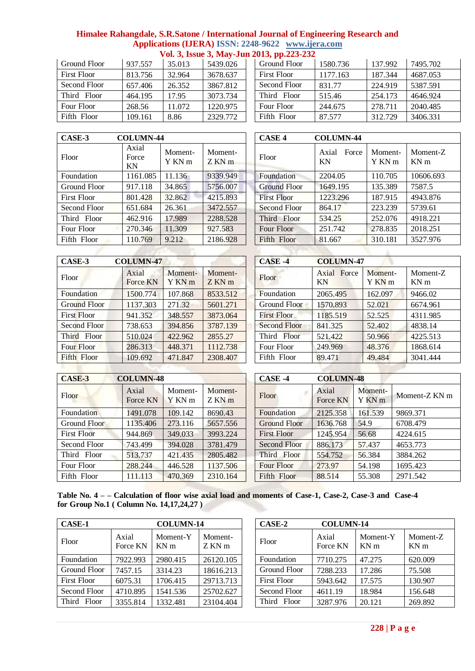| Ground Floor       | 937.557 | 35.013 | 5439.026 |
|--------------------|---------|--------|----------|
| <b>First Floor</b> | 813.756 | 32.964 | 3678.637 |
| Second Floor       | 657.406 | 26.352 | 3867.812 |
| Third Floor        | 464.195 | 17.95  | 3073.734 |
| Four Floor         | 268.56  | 11.072 | 1220.975 |
| Fifth Floor        | 109.161 | 8.86   | 2329.772 |

|              |         |        |          | .                  |          |         |          |
|--------------|---------|--------|----------|--------------------|----------|---------|----------|
| Ground Floor | 937.557 | 35.013 | 5439.026 | Ground Floor       | 1580.736 | 137.992 | 7495.702 |
| First Floor  | 813.756 | 32.964 | 3678.637 | <b>First Floor</b> | 1177.163 | 187.344 | 4687.053 |
| Second Floor | 657.406 | 26.352 | 3867.812 | Second Floor       | 831.77   | 224.919 | 5387.591 |
| Third Floor  | 464.195 | 17.95  | 3073.734 | Third Floor        | 515.46   | 254.173 | 4646.924 |
| Four Floor   | 268.56  | 11.072 | 1220.975 | Four Floor         | 244.675  | 278.711 | 2040.485 |
| Fifth Floor  | 109.161 | 8.86   | 2329.772 | Fifth Floor        | 87.577   | 312.729 | 3406.331 |

| CASE-3       | <b>COLUMN-44</b>     |                   |                   | <b>CASE 4</b>       | <b>COLUMN-44</b>     |                   |                                 |
|--------------|----------------------|-------------------|-------------------|---------------------|----------------------|-------------------|---------------------------------|
| Floor        | Axial<br>Force<br>KN | Moment-<br>Y KN m | Moment-<br>Z KN m | Floor               | Force<br>Axial<br>KN | Moment-<br>Y KN m | <b>Momen</b><br>KN <sub>m</sub> |
| Foundation   | 1161.085             | 11.136            | 9339.949          | Foundation          | 2204.05              | 110.705           | 10606.6                         |
| Ground Floor | 917.118              | 34.865            | 5756.007          | <b>Ground Floor</b> | 1649.195             | 135.389           | 7587.5                          |
| First Floor  | 801.428              | 32.862            | 4215.893          | <b>First Floor</b>  | 1223.296             | 187.915           | 4943.87                         |
| Second Floor | 651.684              | 26.361            | 3472.557          | Second Floor        | 864.17               | 223.239           | 5739.61                         |
| Third Floor  | 462.916              | 17.989            | 2288.528          | Third Floor         | 534.25               | 252.076           | 4918.22                         |
| Four Floor   | 270.346              | 11.309            | 927.583           | Four Floor          | 251.742              | 278.835           | 2018.25                         |
| Fifth Floor  | 110.769              | 9.212             | 2186.928          | Fifth Floor         | 81.667               | 310.181           | 3527.97                         |
|              |                      |                   |                   |                     |                      |                   |                                 |

| CASE-3       | <b>COLUMN-44</b>     |                   |                 | <b>CASE 4</b>       | <b>COLUMN-44</b>     |                   |                             |
|--------------|----------------------|-------------------|-----------------|---------------------|----------------------|-------------------|-----------------------------|
| Floor        | Axial<br>Force<br>KN | Moment-<br>Y KN m | Moment-<br>ZKNm | Floor               | Axial<br>Force<br>KN | Moment-<br>Y KN m | Moment-Z<br>KN <sub>m</sub> |
| Foundation   | 1161.085             | 11.136            | 9339.949        | Foundation          | 2204.05              | 110.705           | 10606.693                   |
| Ground Floor | 917.118              | 34.865            | 5756.007        | <b>Ground Floor</b> | 1649.195             | 135.389           | 7587.5                      |
| First Floor  | 801.428              | 32.862            | 4215.893        | <b>First Floor</b>  | 1223.296             | 187.915           | 4943.876                    |
| Second Floor | 651.684              | 26.361            | 3472.557        | Second Floor        | 864.17               | 223.239           | 5739.61                     |
| Third Floor  | 462.916              | 17.989            | 2288.528        | Third Floor         | 534.25               | 252.076           | 4918.221                    |
| Four Floor   | 270.346              | 11.309            | 927.583         | Four Floor          | 251.742              | 278.835           | 2018.251                    |
| Fifth Floor  | 110.769              | 9.212             | 2186.928        | Fifth Floor         | 81.667               | 310.181           | 3527.976                    |
|              |                      |                   |                 |                     |                      |                   |                             |

|                   |                   |                    |                    | <b>COLUMN-47</b>            |
|-------------------|-------------------|--------------------|--------------------|-----------------------------|
| Axial<br>Force KN | Moment-<br>Y KN m | Moment-<br>$ZKN$ m | Floor              | Axial<br>Force<br><b>KN</b> |
| 1500.774          | 107.868           | 8533.512           | Foundation         | 2065.495                    |
| 1137.303          | 271.32            | 5601.271           | Ground Floor       | 1570.893                    |
| 941.352           | 348.557           | 3873.064           | <b>First Floor</b> | 1185.519                    |
| 738.653           | 394.856           | 3787.139           | Second Floor       | 841.325                     |
| 510.024           | 422.962           | 2855.27            | Third Floor        | 521.422                     |
| 286.313           | 448.371           | 1112.738           | Four Floor         | 249.969                     |
| 109.692           | 471.847           | 2308.407           | Fifth Floor        | 89.471                      |
|                   | <b>COLUMN-47</b>  |                    |                    | CASE -4                     |

| CASE-3              | <b>COLUMN-47</b>  |                   |                 | CASE-4              | <b>COLUMN-47</b>  |                              |                             |
|---------------------|-------------------|-------------------|-----------------|---------------------|-------------------|------------------------------|-----------------------------|
| Floor               | Axial<br>Force KN | Moment-<br>Y KN m | Moment-<br>ZKNm | Floor               | Axial Force<br>KN | Moment-<br>Y KN <sub>m</sub> | Moment-Z<br>KN <sub>m</sub> |
| Foundation          | 1500.774          | 107.868           | 8533.512        | Foundation          | 2065.495          | 162.097                      | 9466.02                     |
| Ground Floor        | 1137.303          | 271.32            | 5601.271        | Ground Floor        | 1570.893          | 52.021                       | 6674.961                    |
| First Floor         | 941.352           | 348.557           | 3873.064        | <b>First Floor</b>  | 1185.519          | 52.525                       | 4311.985                    |
| <b>Second Floor</b> | 738.653           | 394.856           | 3787.139        | <b>Second Floor</b> | 841.325           | 52.402                       | 4838.14                     |
| Third Floor         | 510.024           | 422.962           | 2855.27         | Third Floor         | 521.422           | 50.966                       | 4225.513                    |
| Four Floor          | 286.313           | 448.371           | 1112.738        | Four Floor          | 249.969           | 48.376                       | 1868.614                    |
| Fifth Floor         | 109.692           | 471.847           | 2308.407        | Fifth Floor         | 89.471            | 49.484                       | 3041.444                    |

| CASE-3<br><b>COLUMN-48</b> |                   |                   |                 |  | CASE -4             | <b>COLUMN-48</b>  |                   |               |
|----------------------------|-------------------|-------------------|-----------------|--|---------------------|-------------------|-------------------|---------------|
| Floor                      | Axial<br>Force KN | Moment-<br>Y KN m | Moment-<br>ZKNm |  | Floor               | Axial<br>Force KN | Moment-<br>Y KN m | Moment-Z KN m |
| Foundation                 | 1491.078          | 109.142           | 8690.43         |  | Foundation          | 2125.358          | 161.539           | 9869.371      |
| Ground Floor               | 1135.406          | 273.116           | 5657.556        |  | <b>Ground Floor</b> | 1636.768          | 54.9              | 6708.479      |
| <b>First Floor</b>         | 944.869           | 349.033           | 3993.224        |  | <b>First Floor</b>  | 1245.954          | 56.68             | 4224.615      |
| Second Floor               | 743.499           | 394.028           | 3781.479        |  | Second Floor        | 886.173           | 57.437            | 4653.773      |
| Third Floor                | 513.737           | 421.435           | 2805.482        |  | Third Floor         | 554.752           | 56.384            | 3884.262      |
| Four Floor                 | 288.244           | 446.528           | 1137.506        |  | Four Floor          | 273.97            | 54.198            | 1695.423      |
| Fifth Floor                | 111.113           | 470.369           | 2310.164        |  | Fifth Floor         | 88.514            | 55.308            | 2971.542      |

**Table No. 4 – – Calculation of floor wise axial load and moments of Case-1, Case-2, Case-3 and Case-4 for Group No.1 ( Column No. 14,17,24,27 )**

| CASE-1             |                   | <b>COLUMN-14</b>            |                   | $CASE-2$           | <b>COLUMN-14</b>  |                  |                             |
|--------------------|-------------------|-----------------------------|-------------------|--------------------|-------------------|------------------|-----------------------------|
| Floor              | Axial<br>Force KN | Moment-Y<br>KN <sub>m</sub> | Moment-<br>Z KN m | Floor              | Axial<br>Force KN | Moment-Y<br>KN m | Moment-Z<br>KN <sub>m</sub> |
| Foundation         | 7922.993          | 2980.415                    | 26120.105         | Foundation         | 7710.275          | 47.275           | 620.009                     |
| Ground Floor       | 7457.15           | 3314.23                     | 18616.213         | Ground Floor       | 7288.233          | 17.286           | 75.508                      |
| <b>First Floor</b> | 6075.31           | 1706.415                    | 29713.713         | <b>First Floor</b> | 5943.642          | 17.575           | 130.907                     |
| Second Floor       | 4710.895          | 1541.536                    | 25702.627         | Second Floor       | 4611.19           | 18.984           | 156.648                     |
| Floor<br>Third     | 3355.814          | 1332.481                    | 23104.404         | Floor<br>Third     | 3287.976          | 20.121           | 269.892                     |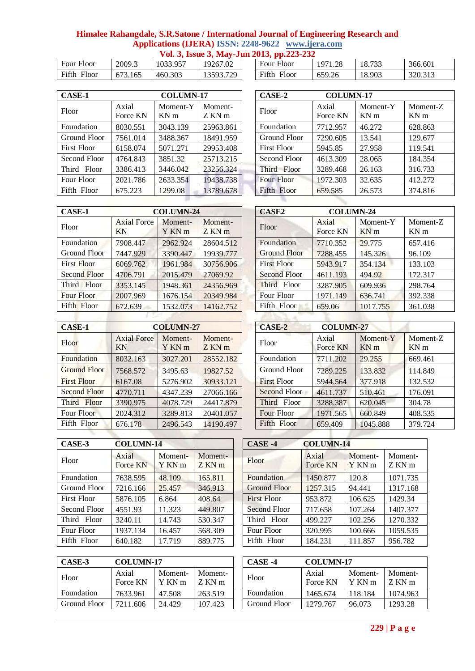| Four Floor     | 2009.3  | 1033.957 | 19267.02  | Floor<br>Four  | 1971<br>1.28 | 18.733 | 366.601 |
|----------------|---------|----------|-----------|----------------|--------------|--------|---------|
| Fifth<br>Floor | 673.165 | 460.303  | 13593.729 | Fifth<br>Floor | 659.26       | 18.903 | 320.313 |

| CASE-1       |                   | <b>COLUMN-17</b>            |                   | CASE-2             | <b>COLUMN-17</b>  |                             |                          |
|--------------|-------------------|-----------------------------|-------------------|--------------------|-------------------|-----------------------------|--------------------------|
| Floor        | Axial<br>Force KN | Moment-Y<br>KN <sub>m</sub> | Moment-<br>Z KN m | Floor              | Axial<br>Force KN | Moment-Y<br>KN <sub>m</sub> | Momen<br>KN <sub>m</sub> |
| Foundation   | 8030.551          | 3043.139                    | 25963.861         | Foundation         | 7712.957          | 46.272                      | 628.863                  |
| Ground Floor | 7561.014          | 3488.367                    | 18491.959         | Ground Floor       | 7290.605          | 13.541                      | 129.677                  |
| First Floor  | 6158.074          | 5071.271                    | 29953.408         | <b>First Floor</b> | 5945.85           | 27.958                      | 119.541                  |
| Second Floor | 4764.843          | 3851.32                     | 25713.215         | Second Floor       | 4613.309          | 28.065                      | 184.354                  |
| Third Floor  | 3386.413          | 3446.042                    | 23256.324         | Third Floor        | 3289.468          | 26.163                      | 316.733                  |
| Four Floor   | 2021.786          | 2633.354                    | 19438.738         | Four Floor         | 1972.303          | 32.635                      | 412.272                  |
| Fifth Floor  | 675.223           | 1299.08                     | 13789.678         | Fifth Floor        | 659.585           | 26.573                      | 374.816                  |

| 2013, pp.223-232<br>Four Floor | 1971.28 | 18.733 | 366.601 |
|--------------------------------|---------|--------|---------|
| Fifth Floor                    | 659.26  | 18.903 | 320.313 |

| 7                 | CASE-2             | <b>COLUMN-17</b>  |                             |                             |
|-------------------|--------------------|-------------------|-----------------------------|-----------------------------|
| Moment-<br>Z KN m | Floor              | Axial<br>Force KN | Moment-Y<br>KN <sub>m</sub> | Moment-Z<br>KN <sub>m</sub> |
| 25963.861         | Foundation         | 7712.957          | 46.272                      | 628.863                     |
| 18491.959         | Ground Floor       | 7290.605          | 13.541                      | 129.677                     |
| 29953.408         | <b>First Floor</b> | 5945.85           | 27.958                      | 119.541                     |
| 25713.215         | Second Floor       | 4613.309          | 28.065                      | 184.354                     |
| 23256.324         | Third Floor        | 3289.468          | 26.163                      | 316.733                     |
| 19438.738         | Four Floor         | 1972.303          | 32.635                      | 412.272                     |
| 13789.678         | Fifth Floor        | 659.585           | 26.573                      | 374.816                     |
|                   |                    |                   |                             |                             |

| CASE-1             |                          | <b>COLUMN-24</b>  |                 | <b>CASE2</b>        | <b>COLUMN-24</b>  |                             |                         |
|--------------------|--------------------------|-------------------|-----------------|---------------------|-------------------|-----------------------------|-------------------------|
| Floor              | <b>Axial Force</b><br>KN | Moment-<br>Y KN m | Moment-<br>ZKNm | Floor               | Axial<br>Force KN | Moment-Y<br>KN <sub>m</sub> | Mome<br>KN <sub>m</sub> |
| Foundation         | 7908.447                 | 2962.924          | 28604.512       | Foundation          | 7710.352          | 29.775                      | 657.41                  |
| Ground Floor       | 7447.929                 | 3390.447          | 19939.777       | <b>Ground Floor</b> | 7288.455          | 145.326                     | 96.109                  |
| <b>First Floor</b> | 6069.762                 | 1961.984          | 30756.906       | <b>First Floor</b>  | 5943.917          | 354.134                     | 133.10                  |
| Second Floor       | 4706.791                 | 2015.479          | 27069.92        | Second Floor        | 4611.193          | 494.92                      | 172.31                  |
| Third Floor        | 3353.145                 | 1948.361          | 24356.969       | Third Floor         | 3287.905          | 609.936                     | 298.76                  |
| Four Floor         | 2007.969                 | 1676.154          | 20349.984       | Four Floor          | 1971.149          | 636.741                     | 392.33                  |
| Fifth Floor        | 672.639                  | 1532.073          | 14162.752       | Fifth Floor         | 659.06            | 1017.755                    | 361.03                  |
|                    |                          |                   |                 |                     |                   |                             |                         |

| <b>CASE-1</b>       |                          | <b>COLUMN-24</b>  |                 | <b>CASE2</b>        |                   |                             |                             |
|---------------------|--------------------------|-------------------|-----------------|---------------------|-------------------|-----------------------------|-----------------------------|
| Floor               | <b>Axial Force</b><br>ΚN | Moment-<br>Y KN m | Moment-<br>ZKNm | Floor               | Axial<br>Force KN | Moment-Y<br>KN <sub>m</sub> | Moment-Z<br>KN <sub>m</sub> |
| Foundation          | 7908.447                 | 2962.924          | 28604.512       | Foundation          | 7710.352          | 29.775                      | 657.416                     |
| Ground Floor        | 7447.929                 | 3390.447          | 19939.777       | <b>Ground Floor</b> | 7288.455          | 145.326                     | 96.109                      |
| First Floor         | 6069.762                 | 1961.984          | 30756.906       | <b>First Floor</b>  | 5943.917          | 354.134                     | 133.103                     |
| <b>Second Floor</b> | 4706.791                 | 2015.479          | 27069.92        | <b>Second Floor</b> | 4611.193          | 494.92                      | 172.317                     |
| Third Floor         | 3353.145                 | 1948.361          | 24356.969       | Third Floor         | 3287.905          | 609.936                     | 298.764                     |
| Four Floor          | 2007.969                 | 1676.154          | 20349.984       | Four Floor          | 1971.149          | 636.741                     | 392.338                     |
| Fifth Floor         | 672.639                  | 1532.073          | 14162.752       | Fifth Floor         | 659.06            | 1017.755                    | 361.038                     |
|                     |                          |                   |                 |                     |                   |                             |                             |

| <b>CASE-1</b>       | <b>COLUMN-27</b>         |                   |                 | CASE-2             | <b>COLUMN-27</b>  |                             |                         |
|---------------------|--------------------------|-------------------|-----------------|--------------------|-------------------|-----------------------------|-------------------------|
| Floor               | <b>Axial Force</b><br>ΚN | Moment-<br>Y KN m | Moment-<br>ZKNm | Floor              | Axial<br>Force KN | Moment-Y<br>KN <sub>m</sub> | Mome<br>KN <sub>m</sub> |
| Foundation          | 8032.163                 | 3027.201          | 28552.182       | Foundation         | 7711.202          | 29.255                      | 669.46                  |
| <b>Ground Floor</b> | 7568.572                 | 3495.63           | 19827.52        | Ground Floor       | 7289.225          | 133.832                     | 114.84                  |
| <b>First Floor</b>  | 6167.08                  | 5276.902          | 30933.121       | <b>First Floor</b> | 5944.564          | 377.918                     | 132.53                  |
| <b>Second Floor</b> | 4770.711                 | 4347.239          | 27066.166       | Second Floor       | 4611.737          | 510.461                     | 176.09                  |
| Third Floor         | 3390.975                 | 4078.729          | 24417.879       | Third Floor        | 3288.387          | 620.045                     | 304.78                  |
| Four Floor          | 2024.312                 | 3289.813          | 20401.057       | Four Floor         | 1971.565          | 660.849                     | 408.53                  |
| Fifth Floor         | 676.178                  | 2496.543          | 14190.497       | Fifth Floor        | 659.409           | 1045.888                    | 379.72                  |
|                     |                          |                   |                 |                    |                   |                             |                         |

| <b>CASE-1</b>       |                          | <b>COLUMN-27</b>  |                 | CASE-2             | <b>COLUMN-27</b>  |                             |                             |
|---------------------|--------------------------|-------------------|-----------------|--------------------|-------------------|-----------------------------|-----------------------------|
| Floor               | <b>Axial Force</b><br>ΚN | Moment-<br>Y KN m | Moment-<br>ZKNm | Floor              | Axial<br>Force KN | Moment-Y<br>KN <sub>m</sub> | Moment-Z<br>KN <sub>m</sub> |
| Foundation          | 8032.163                 | 3027.201          | 28552.182       | Foundation         | 7711.202          | 29.255                      | 669.461                     |
| <b>Ground Floor</b> | 7568.572                 | 3495.63           | 19827.52        | Ground Floor       | 7289.225          | 133.832                     | 114.849                     |
| <b>First Floor</b>  | 6167.08                  | 5276.902          | 30933.121       | <b>First Floor</b> | 5944.564          | 377.918                     | 132.532                     |
| <b>Second Floor</b> | 4770.711                 | 4347.239          | 27066.166       | Second Floor       | 4611.737          | 510.461                     | 176.091                     |
| Third Floor         | 3390.975                 | 4078.729          | 24417.879       | Third Floor        | 3288.387          | 620.045                     | 304.78                      |
| Four Floor          | 2024.312                 | 3289.813          | 20401.057       | Four Floor         | 1971.565          | 660.849                     | 408.535                     |
| Fifth Floor         | 676.178                  | 2496.543          | 14190.497       | Fifth Floor        | 659.409           | 1045.888                    | 379.724                     |
|                     |                          |                   |                 |                    |                   |                             |                             |

| CASE-3             | <b>COLUMN-14</b>  |                   |                    | CASE-4              | <b>COLUMN-14</b>  |  |
|--------------------|-------------------|-------------------|--------------------|---------------------|-------------------|--|
| Floor              | Axial<br>Force KN | Moment-<br>Y KN m | Moment-<br>$ZKN$ m | Floor               | Axial<br>Force KN |  |
| Foundation         | 7638.595          | 48.109            | 165.811            | Foundation          | 1450.877          |  |
| Ground Floor       | 7216.166          | 25.457            | 346.913            | <b>Ground Floor</b> | 1257.315          |  |
| <b>First Floor</b> | 5876.105          | 6.864             | 408.64             | <b>First Floor</b>  | 953.872           |  |
| Second Floor       | 4551.93           | 11.323            | 449.807            | Second Floor        | 717.658           |  |
| Third Floor        | 3240.11           | 14.743            | 530.347            | Third Floor         | 499.227           |  |
| Four Floor         | 1937.134          | 16.457            | 568.309            | Four Floor          | 320.995           |  |
| Fifth Floor        | 640.182           | 17.719            | 889.775            | Fifth Floor         | 184.231           |  |

| CASE-3       | <b>COLUMN-17</b>  |                   |                   |  | CASE -4      | <b>COLUMN-17</b>  |                   |                   |
|--------------|-------------------|-------------------|-------------------|--|--------------|-------------------|-------------------|-------------------|
| Floor        | Axial<br>Force KN | Moment-<br>Y KN m | Moment-<br>Z KN m |  | Floor        | Axial<br>Force KN | Moment-<br>Y KN m | Moment-<br>Z KN m |
| Foundation   | 7633.961          | 47.508            | 263.519           |  | Foundation   | 1465.674          | 118.184           | 1074.963          |
| Ground Floor | 7211.606          | 24.429            | 107.423           |  | Ground Floor | 1279.767          | 96.073            | 1293.28           |

| САЭЕ Э       | COLUNIN-14        |                   |                 | CA5E -4             | COLUMN-14         |                   |                   |
|--------------|-------------------|-------------------|-----------------|---------------------|-------------------|-------------------|-------------------|
| Floor        | Axial<br>Force KN | Moment-<br>Y KN m | Moment-<br>ZKNm | Floor               | Axial<br>Force KN | Moment-<br>Y KN m | Moment-<br>Z KN m |
| Foundation   | 7638.595          | 48.109            | 165.811         | Foundation          | 1450.877          | 120.8             | 1071.735          |
| Ground Floor | 7216.166          | 25.457            | 346.913         | <b>Ground Floor</b> | 1257.315          | 94.441            | 1317.168          |
| First Floor  | 5876.105          | 6.864             | 408.64          | <b>First Floor</b>  | 953.872           | 106.625           | 1429.34           |
| Second Floor | 4551.93           | 11.323            | 449.807         | Second Floor        | 717.658           | 107.264           | 1407.377          |
| Third Floor  | 3240.11           | 14.743            | 530.347         | Third Floor         | 499.227           | 102.256           | 1270.332          |
| Four Floor   | 1937.134          | 16.457            | 568.309         | Four Floor          | 320.995           | 100.666           | 1059.535          |
| Fifth Floor  | 640.182           | 17.719            | 889.775         | Fifth Floor         | 184.231           | 111.857           | 956.782           |
|              |                   |                   |                 |                     |                   |                   |                   |

٦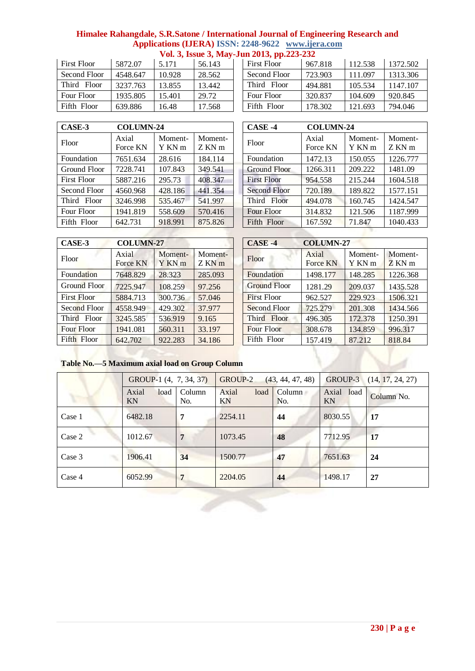| <b>First Floor</b> | 5872.07  | 5.171  | 56.143 |
|--------------------|----------|--------|--------|
| Second Floor       | 4548.647 | 10.928 | 28.562 |
| Third Floor        | 3237.763 | 13.855 | 13.442 |
| Four Floor         | 1935.805 | 15.401 | 29.72  |
| Fifth Floor        | 639.886  | 16.48  | 17.568 |

| First Floor  | 5872.07  | 5.171  | 56.143 | <b>First Floor</b> | 967.818 | 112.538 | 1372.502 |
|--------------|----------|--------|--------|--------------------|---------|---------|----------|
| Second Floor | 4548.647 | 10.928 | 28.562 | Second Floor       | 723.903 | 111.097 | 1313.306 |
| Third Floor  | 3237.763 | 13.855 | 13.442 | Third Floor        | 494.881 | 105.534 | 147.107  |
| Four Floor   | 1935.805 | 15.401 | 29.72  | Four Floor         | 320.837 | 104.609 | 920.845  |
| Fifth Floor  | 639.886  | 16.48  | 17.568 | Fifth Floor        | 178.302 | 121.693 | 794.046  |

| CASE-3             | <b>COLUMN-24</b>  |                   |                   | CASE -4             | <b>COLUMN-24</b>  |                   |                  |
|--------------------|-------------------|-------------------|-------------------|---------------------|-------------------|-------------------|------------------|
| Floor              | Axial<br>Force KN | Moment-<br>Y KN m | Moment-<br>Z KN m | Floor               | Axial<br>Force KN | Moment-<br>Y KN m | Momen<br>$ZKN$ m |
| Foundation         | 7651.634          | 28.616            | 184.114           | Foundation          | 1472.13           | 150.055           | 1226.77          |
| Ground Floor       | 7228.741          | 107.843           | 349.541           | <b>Ground Floor</b> | 1266.311          | 209.222           | 1481.09          |
| <b>First Floor</b> | 5887.216          | 295.73            | 408.347           | <b>First Floor</b>  | 954.558           | 215.244           | 1604.51          |
| Second Floor       | 4560.968          | 428.186           | 441.354           | <b>Second Floor</b> | 720.189           | 189.822           | 1577.15          |
| Third Floor        | 3246.998          | 535.467           | 541.997           | Third Floor         | 494.078           | 160.745           | 1424.54          |
| Four Floor         | 1941.819          | 558.609           | 570.416           | Four Floor          | 314.832           | 121.506           | 1187.99          |
| Fifth Floor        | 642.731           | 918.991           | 875.826           | Fifth Floor         | 167.592           | 71.847            | 1040.43          |

| CASE-3       | <b>COLUMN-24</b>  |                   |                   | $CASE -4$           | <b>COLUMN-24</b>  |                   |                   |
|--------------|-------------------|-------------------|-------------------|---------------------|-------------------|-------------------|-------------------|
| Floor        | Axial<br>Force KN | Moment-<br>Y KN m | Moment-<br>Z KN m | Floor               | Axial<br>Force KN | Moment-<br>Y KN m | Moment-<br>Z KN m |
| Foundation   | 7651.634          | 28.616            | 184.114           | Foundation          | 1472.13           | 150.055           | 1226.777          |
| Ground Floor | 7228.741          | 107.843           | 349.541           | <b>Ground Floor</b> | 1266.311          | 209.222           | 1481.09           |
| First Floor  | 5887.216          | 295.73            | 408.347           | <b>First Floor</b>  | 954.558           | 215.244           | 1604.518          |
| Second Floor | 4560.968          | 428.186           | 441.354           | <b>Second Floor</b> | 720.189           | 189.822           | 1577.151          |
| Third Floor  | 3246.998          | 535.467           | 541.997           | Third Floor         | 494.078           | 160.745           | 1424.547          |
| Four Floor   | 1941.819          | 558.609           | 570.416           | Four Floor          | 314.832           | 121.506           | 1187.999          |
| Fifth Floor  | 642.731           | 918.991           | 875.826           | Fifth Floor         | 167.592           | 71.847            | 1040.433          |

| CASE-3             | <b>COLUMN-27</b>  |                   |                 | $CASE -4$           | <b>COLUMN-27</b>  |                   |                   |
|--------------------|-------------------|-------------------|-----------------|---------------------|-------------------|-------------------|-------------------|
| Floor              | Axial<br>Force KN | Moment-<br>Y KN m | Moment-<br>ZKNm | Floor               | Axial<br>Force KN | Moment-<br>Y KN m | Moment-<br>Z KN m |
| Foundation         | 7648.829          | 28.323            | 285.093         | Foundation          | 1498.177          | 148.285           | 1226.368          |
| Ground Floor       | 7225.947          | 108.259           | 97.256          | <b>Ground Floor</b> | 1281.29           | 209.037           | 1435.528          |
| <b>First Floor</b> | 5884.713          | 300.736           | 57.046          | <b>First Floor</b>  | 962.527           | 229.923           | 1506.321          |
| Second Floor       | 4558.949          | 429.302           | 37,977          | Second Floor        | 725,279           | 201.308           | 1434.566          |
| Third Floor        | 3245.585          | 536.919           | 9.165           | Third Floor         | 496.305           | 172.378           | 1250.391          |
| Four Floor         | 1941.081          | 560.311           | 33.197          | <b>Four Floor</b>   | 308.678           | 134.859           | 996.317           |
| Fifth Floor        | 642.702           | 922.283           | 34.186          | Fifth Floor         | 157.419           | 87.212            | 818.84            |

|                   | CASE-4              | <b>COLUMN-27</b>         |                   |                 |
|-------------------|---------------------|--------------------------|-------------------|-----------------|
| Moment-<br>Z KN m | Floor               | Axial<br><b>Force KN</b> | Moment-<br>Y KN m | Moment-<br>ZKNm |
| 285.093           | Foundation          | 1498.177                 | 148.285           | 1226.368        |
| 97.256            | <b>Ground Floor</b> | 1281.29                  | 209.037           | 1435.528        |
| 57.046            | <b>First Floor</b>  | 962.527                  | 229.923           | 1506.321        |
| 37.977            | Second Floor        | 725.279                  | 201.308           | 1434.566        |
| 9.165             | Third Floor         | 496.305                  | 172.378           | 1250.391        |
| 33.197            | <b>Four Floor</b>   | 308.678                  | 134.859           | 996.317         |
| 34.186            | Fifth Floor         | 157.419                  | 87.212            | 818.84          |

**Table No.—5 Maximum axial load on Group Column** 

|        | GROUP-1 (4, 7, 34, 37)       |               | GROUP-2     | (43, 44, 47, 48)   | GROUP-3 (14, 17, 24, 27) |            |  |
|--------|------------------------------|---------------|-------------|--------------------|--------------------------|------------|--|
|        | Axial<br>load  <br><b>KN</b> | Column<br>No. | Axial<br>KN | load Column<br>No. | Axial load<br>KN         | Column No. |  |
| Case 1 | 6482.18                      |               | 2254.11     | 44                 | 8030.55                  | <b>17</b>  |  |
| Case 2 | 1012.67                      | 7             | 1073.45     | 48                 | 7712.95                  | 17         |  |
| Case 3 | 1906.41                      | 34            | 1500.77     | 47                 | 7651.63                  | 24         |  |
| Case 4 | 6052.99                      | 7             | 2204.05     | 44                 | 1498.17                  | 27         |  |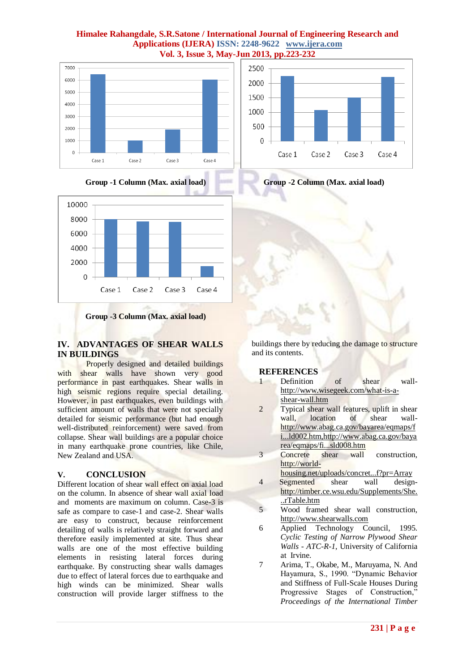





# **IV. ADVANTAGES OF SHEAR WALLS IN BUILDINGS**

Properly designed and detailed buildings with shear walls have shown very good performance in past earthquakes. Shear walls in high seismic regions require special detailing. However, in past earthquakes, even buildings with sufficient amount of walls that were not specially detailed for seismic performance (but had enough well-distributed reinforcement) were saved from collapse. Shear wall buildings are a popular choice in many earthquake prone countries, like Chile, New Zealand and USA.

# **V. CONCLUSION**

Different location of shear wall effect on axial load on the column. In absence of shear wall axial load and moments are maximum on column. Case-3 is safe as compare to case-1 and case-2. Shear walls are easy to construct, because reinforcement detailing of walls is relatively straight forward and therefore easily implemented at site. Thus shear walls are one of the most effective building elements in resisting lateral forces during earthquake. By constructing shear walls damages due to effect of lateral forces due to earthquake and high winds can be minimized. Shear walls construction will provide larger stiffness to the





buildings there by reducing the damage to structure and its contents.

#### **REFERENCES**

- 1 Definition of shear wall[http://www.wisegeek.com/what-is-a](http://www.wisegeek.com/what-is-a-shear-wall.htm)[shear-wall.htm](http://www.wisegeek.com/what-is-a-shear-wall.htm)
- 2 Typical shear wall features, uplift in shear wall, location of shear wall[http://www.abag.ca.gov/bayarea/eqmaps/f](http://www.abag.ca.gov/bayarea/eqmaps/fi...ld002.htm,) [i...ld002.htm,http://www.abag.ca.gov/baya](http://www.abag.ca.gov/bayarea/eqmaps/fi...ld002.htm,) rea/eqmaps/fi...sld008.htm
- 3 Concrete shear wall construction, [http://world](http://world-housing.net/uploads/concrete_shear_wall.pdf?pr=Array)
	- [housing.net/uploads/concret...f?pr=Array](http://world-housing.net/uploads/concrete_shear_wall.pdf?pr=Array)
- 4 Segmented shear wall design[http://timber.ce.wsu.edu/Supplements/She.](http://timber.ce.wsu.edu/Supplements/ShearWall/ShearTable.htm) [..rTable.htm](http://timber.ce.wsu.edu/Supplements/ShearWall/ShearTable.htm)
- 5 Wood framed shear wall construction, [http://www.shearwalls.com](http://www.shearwalls.com/)
- 6 Applied Technology Council, 1995. *Cyclic Testing of Narrow Plywood Shear Walls - ATC-R-1*, University of California at Irvine.
- 7 Arima, T., Okabe, M., Maruyama, N. And Hayamura, S., 1990. "Dynamic Behavior and Stiffness of Full-Scale Houses During Progressive Stages of Construction," *Proceedings of the International Timber*